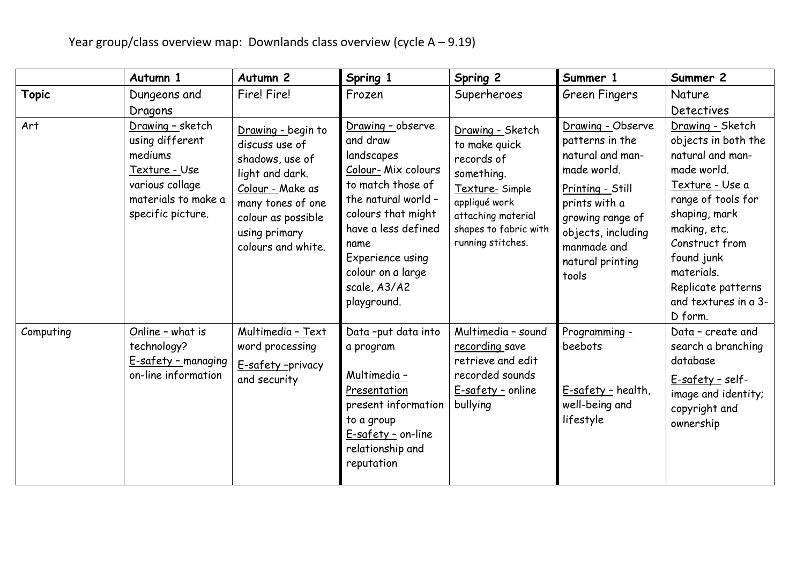|              | Autumn 1                                                                                                                       | Autumn <sub>2</sub>                                                                                                                                                              | Spring 1                                                                                                                                                                                                                                   | Spring 2                                                                                                                                                             | Summer 1                                                                                                                                                                                           | Summer 2                                                                                                                                                                                                                                                    |
|--------------|--------------------------------------------------------------------------------------------------------------------------------|----------------------------------------------------------------------------------------------------------------------------------------------------------------------------------|--------------------------------------------------------------------------------------------------------------------------------------------------------------------------------------------------------------------------------------------|----------------------------------------------------------------------------------------------------------------------------------------------------------------------|----------------------------------------------------------------------------------------------------------------------------------------------------------------------------------------------------|-------------------------------------------------------------------------------------------------------------------------------------------------------------------------------------------------------------------------------------------------------------|
| <b>Topic</b> | Dungeons and<br>Dragons                                                                                                        | Fire! Fire!                                                                                                                                                                      | Frozen                                                                                                                                                                                                                                     | Superheroes                                                                                                                                                          | Green Fingers                                                                                                                                                                                      | <b>Nature</b><br>Detectives                                                                                                                                                                                                                                 |
| Art          | Drawing - sketch<br>using different<br>mediums<br>Texture - Use<br>various collage<br>materials to make a<br>specific picture. | Drawing - begin to<br>discuss use of<br>shadows, use of<br>light and dark.<br>Colour - Make as<br>many tones of one<br>colour as possible<br>using primary<br>colours and white. | Drawing - observe<br>and draw<br>landscapes<br>Colour-Mix colours<br>to match those of<br>the natural world -<br>colours that might<br>have a less defined<br>name<br>Experience using<br>colour on a large<br>scale, A3/A2<br>playground. | Drawing - Sketch<br>to make quick<br>records of<br>something.<br>Texture-Simple<br>appliqué work<br>attaching material<br>shapes to fabric with<br>running stitches. | Drawing - Observe<br>patterns in the<br>natural and man-<br>made world.<br>Printing - Still<br>prints with a<br>growing range of<br>objects, including<br>manmade and<br>natural printing<br>tools | Drawing - Sketch<br>objects in both the<br>natural and man-<br>made world.<br>Texture - Use a<br>range of tools for<br>shaping, mark<br>making, etc.<br>Construct from<br>found junk<br>materials.<br>Replicate patterns<br>and textures in a 3-<br>D form. |
| Computing    | Online - what is<br>technology?<br>E-safety - managing<br>on-line information                                                  | Multimedia - Text<br>word processing<br>E-safety-privacy<br>and security                                                                                                         | Data-put data into<br>a program<br>Multimedia -<br>Presentation<br>present information<br>to a group<br>E-safety - on-line<br>relationship and<br>reputation                                                                               | Multimedia - sound<br>recording save<br>retrieve and edit<br>recorded sounds<br>E-safety - online<br>bullying                                                        | Programming -<br>beebots<br>E-safety - health,<br>well-being and<br>lifestyle                                                                                                                      | Data - create and<br>search a branching<br>database<br><u>E-safety -</u> self-<br>image and identity;<br>copyright and<br>ownership                                                                                                                         |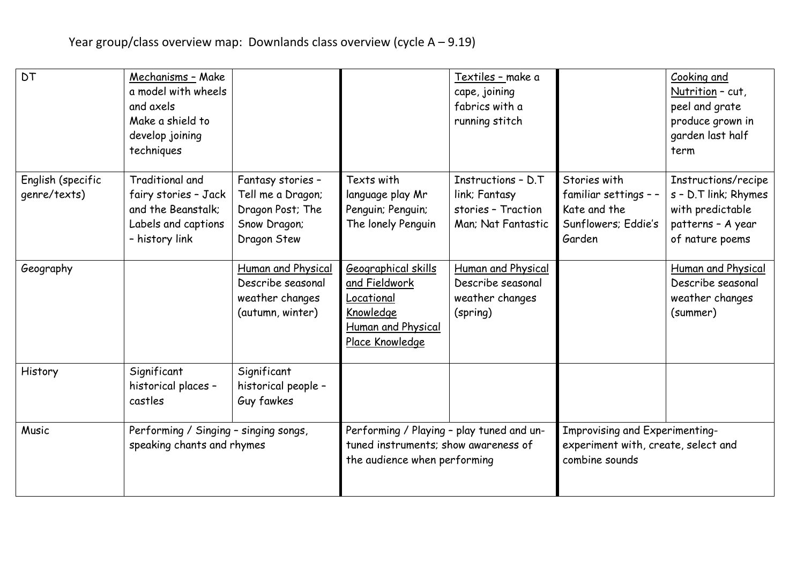| <b>DT</b>                         | Mechanisms - Make<br>a model with wheels<br>and axels<br>Make a shield to<br>develop joining<br>techniques |                                                                                           |                                                                                                                   | Textiles - make a<br>cape, joining<br>fabrics with a<br>running stitch          |                                                                                         | Cooking and<br>Nutrition - cut,<br>peel and grate<br>produce grown in<br>garden last half<br>term       |
|-----------------------------------|------------------------------------------------------------------------------------------------------------|-------------------------------------------------------------------------------------------|-------------------------------------------------------------------------------------------------------------------|---------------------------------------------------------------------------------|-----------------------------------------------------------------------------------------|---------------------------------------------------------------------------------------------------------|
| English (specific<br>genre/texts) | Traditional and<br>fairy stories - Jack<br>and the Beanstalk;<br>Labels and captions<br>- history link     | Fantasy stories -<br>Tell me a Dragon;<br>Dragon Post; The<br>Snow Dragon;<br>Dragon Stew | Texts with<br>language play Mr<br>Penguin; Penguin;<br>The lonely Penguin                                         | Instructions - D.T<br>link; Fantasy<br>stories - Traction<br>Man; Nat Fantastic | Stories with<br>familiar settings - -<br>Kate and the<br>Sunflowers; Eddie's<br>Garden  | Instructions/recipe<br>s - D.T link; Rhymes<br>with predictable<br>patterns - A year<br>of nature poems |
| Geography                         |                                                                                                            | Human and Physical<br>Describe seasonal<br>weather changes<br>(autumn, winter)            | Geographical skills<br>and Fieldwork<br>Locational<br>Knowledge<br>Human and Physical<br>Place Knowledge          | Human and Physical<br>Describe seasonal<br>weather changes<br>(spring)          |                                                                                         | Human and Physical<br>Describe seasonal<br>weather changes<br>(summer)                                  |
| History                           | Significant<br>historical places -<br>castles                                                              | Significant<br>historical people -<br>Guy fawkes                                          |                                                                                                                   |                                                                                 |                                                                                         |                                                                                                         |
| Music                             | Performing / Singing - singing songs,<br>speaking chants and rhymes                                        |                                                                                           | Performing / Playing - play tuned and un-<br>tuned instruments; show awareness of<br>the audience when performing |                                                                                 | Improvising and Experimenting-<br>experiment with, create, select and<br>combine sounds |                                                                                                         |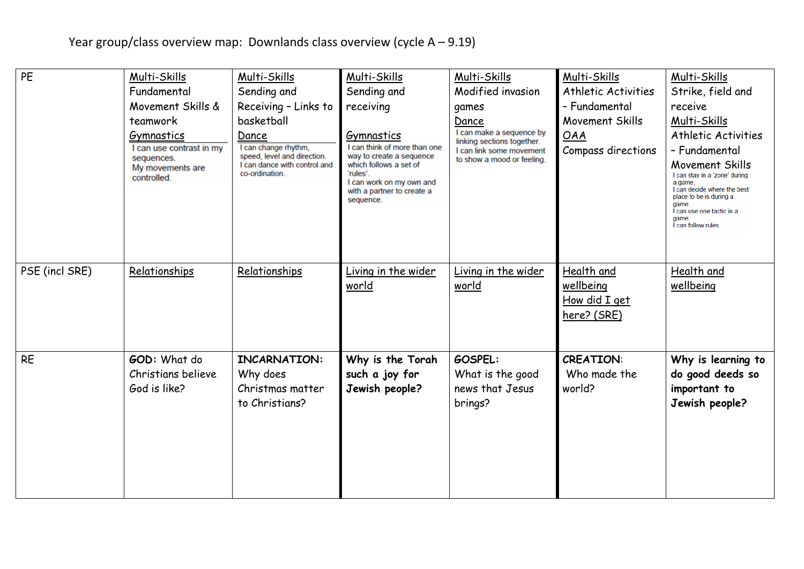| PE             | Multi-Skills                                                                            | Multi-Skills                                                                                                   | Multi-Skills                                                                                                                                                                        | Multi-Skills                                                                                                     | Multi-Skills               | Multi-Skills                                                                                                                                                                                |
|----------------|-----------------------------------------------------------------------------------------|----------------------------------------------------------------------------------------------------------------|-------------------------------------------------------------------------------------------------------------------------------------------------------------------------------------|------------------------------------------------------------------------------------------------------------------|----------------------------|---------------------------------------------------------------------------------------------------------------------------------------------------------------------------------------------|
|                | Fundamental                                                                             | Sending and                                                                                                    | Sending and                                                                                                                                                                         | Modified invasion                                                                                                | <b>Athletic Activities</b> | Strike, field and                                                                                                                                                                           |
|                | Movement Skills &                                                                       | Receiving - Links to                                                                                           | receiving                                                                                                                                                                           | games                                                                                                            | - Fundamental              | receive                                                                                                                                                                                     |
|                | teamwork                                                                                | basketball                                                                                                     |                                                                                                                                                                                     | Dance                                                                                                            | Movement Skills            | Multi-Skills                                                                                                                                                                                |
|                | Gymnastics<br>I can use contrast in my<br>sequences.<br>My movements are<br>controlled. | Dance<br>I can change rhythm,<br>speed, level and direction.<br>I can dance with control and<br>co-ordination. | Gymnastics<br>I can think of more than one<br>way to create a sequence<br>which follows a set of<br>'rules'.<br>I can work on my own and<br>with a partner to create a<br>sequence. | I can make a sequence by<br>linking sections together.<br>I can link some movement<br>to show a mood or feeling. | OAA                        | Athletic Activities                                                                                                                                                                         |
|                |                                                                                         |                                                                                                                |                                                                                                                                                                                     |                                                                                                                  | Compass directions         | - Fundamental                                                                                                                                                                               |
|                |                                                                                         |                                                                                                                |                                                                                                                                                                                     |                                                                                                                  |                            | Movement Skills<br>I can stay in a 'zone' during<br>a game.<br>I can decide where the best<br>place to be is during a<br>game.<br>I can use one tactic in a<br>game.<br>I can follow rules. |
| PSE (incl SRE) | Relationships                                                                           | Relationships                                                                                                  | Living in the wider                                                                                                                                                                 | Living in the wider                                                                                              | Health and                 | Health and                                                                                                                                                                                  |
|                |                                                                                         |                                                                                                                | world                                                                                                                                                                               | world                                                                                                            | wellbeing                  | wellbeing                                                                                                                                                                                   |
|                |                                                                                         |                                                                                                                |                                                                                                                                                                                     |                                                                                                                  | How did I get              |                                                                                                                                                                                             |
|                |                                                                                         |                                                                                                                |                                                                                                                                                                                     |                                                                                                                  | here? (SRE)                |                                                                                                                                                                                             |
|                |                                                                                         |                                                                                                                |                                                                                                                                                                                     |                                                                                                                  |                            |                                                                                                                                                                                             |
| <b>RE</b>      | GOD: What do                                                                            | <b>INCARNATION:</b>                                                                                            | Why is the Torah                                                                                                                                                                    | <b>GOSPEL:</b>                                                                                                   | <b>CREATION:</b>           | Why is learning to                                                                                                                                                                          |
|                | Christians believe<br>God is like?                                                      | Why does<br>Christmas matter<br>to Christians?                                                                 | such a joy for<br>Jewish people?                                                                                                                                                    | What is the good<br>news that Jesus<br>brings?                                                                   | Who made the<br>world?     | do good deeds so<br>important to<br>Jewish people?                                                                                                                                          |